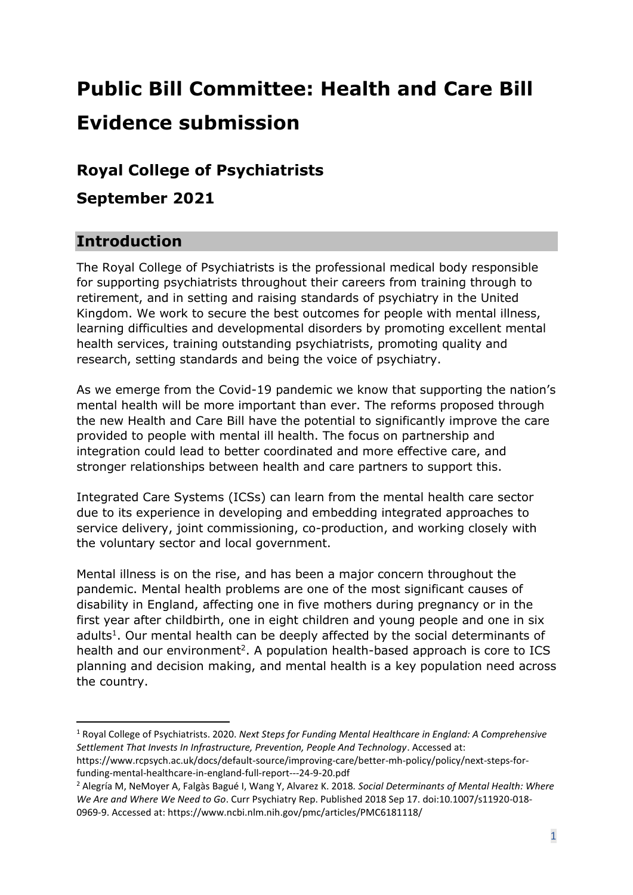# **Public Bill Committee: Health and Care Bill Evidence submission**

# **Royal College of Psychiatrists**

**September 2021**

# **Introduction**

The Royal College of Psychiatrists is the professional medical body responsible for supporting psychiatrists throughout their careers from training through to retirement, and in setting and raising standards of psychiatry in the United Kingdom. We work to secure the best outcomes for people with mental illness, learning difficulties and developmental disorders by promoting excellent mental health services, training outstanding psychiatrists, promoting quality and research, setting standards and being the voice of psychiatry.

As we emerge from the Covid-19 pandemic we know that supporting the nation's mental health will be more important than ever. The reforms proposed through the new Health and Care Bill have the potential to significantly improve the care provided to people with mental ill health. The focus on partnership and integration could lead to better coordinated and more effective care, and stronger relationships between health and care partners to support this.

Integrated Care Systems (ICSs) can learn from the mental health care sector due to its experience in developing and embedding integrated approaches to service delivery, joint commissioning, co-production, and working closely with the voluntary sector and local government.

Mental illness is on the rise, and has been a major concern throughout the pandemic. Mental health problems are one of the most significant causes of disability in England, affecting one in five mothers during pregnancy or in the first year after childbirth, one in eight children and young people and one in six adults<sup>1</sup>. Our mental health can be deeply affected by the social determinants of health and our environment<sup>2</sup>. A population health-based approach is core to ICS planning and decision making, and mental health is a key population need across the country.

<sup>1</sup> Royal College of Psychiatrists. 2020. *Next Steps for Funding Mental Healthcare in England: A Comprehensive Settlement That Invests In Infrastructure, Prevention, People And Technology*. Accessed at:

[https://www.rcpsych.ac.uk/docs/default-source/improving-care/better-mh-policy/policy/next-steps-for](https://www.rcpsych.ac.uk/docs/default-source/improving-care/better-mh-policy/policy/next-steps-for-funding-mental-healthcare-in-england-full-report---24-9-20.pdf)[funding-mental-healthcare-in-england-full-report---24-9-20.pdf](https://www.rcpsych.ac.uk/docs/default-source/improving-care/better-mh-policy/policy/next-steps-for-funding-mental-healthcare-in-england-full-report---24-9-20.pdf)

<sup>2</sup> Alegría M, NeMoyer A, Falgàs Bagué I, Wang Y, Alvarez K. 2018*. Social Determinants of Mental Health: Where We Are and Where We Need to Go*. Curr Psychiatry Rep. Published 2018 Sep 17. doi:10.1007/s11920-018- 0969-9. Accessed at:<https://www.ncbi.nlm.nih.gov/pmc/articles/PMC6181118/>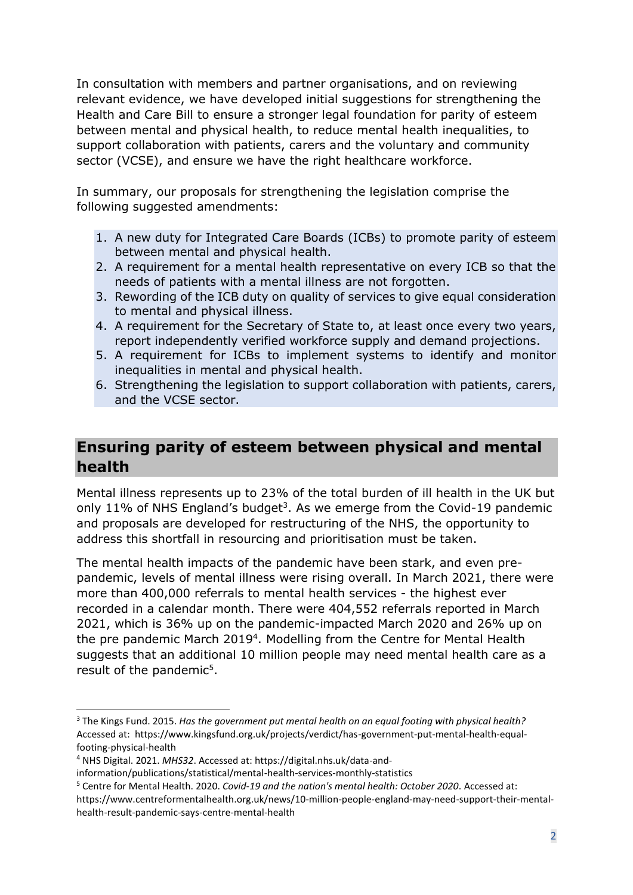In consultation with members and partner organisations, and on reviewing relevant evidence, we have developed initial suggestions for strengthening the Health and Care Bill to ensure a stronger legal foundation for parity of esteem between mental and physical health, to reduce mental health inequalities, to support collaboration with patients, carers and the voluntary and community sector (VCSE), and ensure we have the right healthcare workforce.

In summary, our proposals for strengthening the legislation comprise the following suggested amendments:

- 1. A new duty for Integrated Care Boards (ICBs) to promote parity of esteem between mental and physical health.
- 2. A requirement for a mental health representative on every ICB so that the needs of patients with a mental illness are not forgotten.
- 3. Rewording of the ICB duty on quality of services to give equal consideration to mental and physical illness.
- 4. A requirement for the Secretary of State to, at least once every two years, report independently verified workforce supply and demand projections.
- 5. A requirement for ICBs to implement systems to identify and monitor inequalities in mental and physical health.
- 6. Strengthening the legislation to support collaboration with patients, carers, and the VCSE sector.

# **Ensuring parity of esteem between physical and mental health**

Mental illness represents up to 23% of the total burden of ill health in the UK but only 11% of NHS England's budget<sup>3</sup>. As we emerge from the Covid-19 pandemic and proposals are developed for restructuring of the NHS, the opportunity to address this shortfall in resourcing and prioritisation must be taken.

The mental health impacts of the pandemic have been stark, and even prepandemic, levels of mental illness were rising overall. In March 2021, there were more than 400,000 referrals to mental health services - the highest ever recorded in a calendar month. There were 404,552 referrals reported in March 2021, which is 36% up on the pandemic-impacted March 2020 and 26% up on the pre pandemic March 2019<sup>4</sup>. Modelling from the Centre for Mental Health suggests that an additional 10 million people may need mental health care as a result of the pandemic<sup>5</sup>.

<sup>3</sup> The Kings Fund. 2015. *Has the government put mental health on an equal footing with physical health?* Accessed at: https://www.kingsfund.org.uk/projects/verdict/has-government-put-mental-health-equalfooting-physical-health

<sup>4</sup> NHS Digital. 2021. *MHS32*. Accessed at: https://digital.nhs.uk/data-and-

information/publications/statistical/mental-health-services-monthly-statistics

<sup>5</sup> Centre for Mental Health. 2020. *[Covid-19 and the nation's mental health: October 2020](https://www.centreformentalhealth.org.uk/publications/covid-19-and-nations-mental-health-october-2020)*. Accessed at: https://www.centreformentalhealth.org.uk/news/10-million-people-england-may-need-support-their-mental-

health-result-pandemic-says-centre-mental-health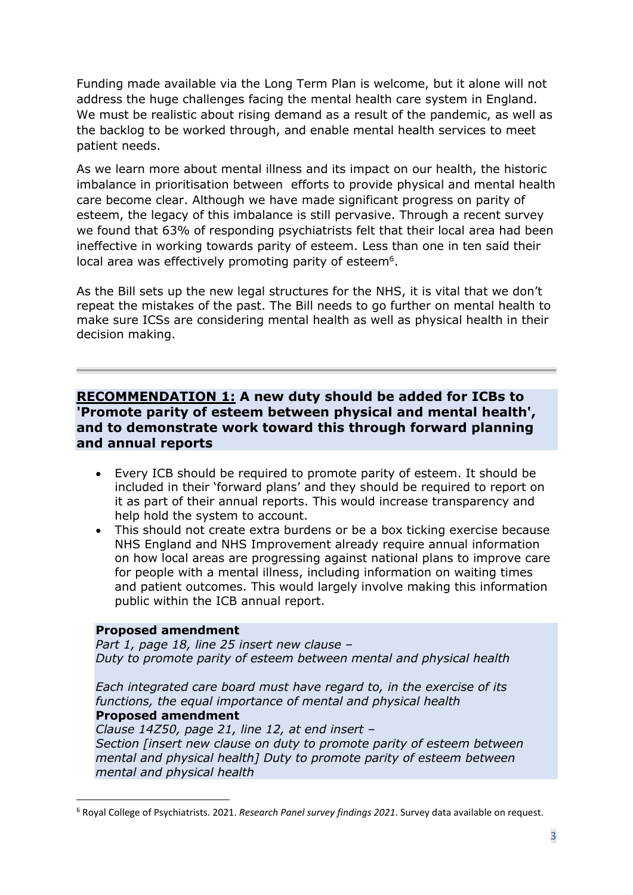Funding made available via the Long Term Plan is welcome, but it alone will not address the huge challenges facing the mental health care system in England. We must be realistic about rising demand as a result of the pandemic, as well as the backlog to be worked through, and enable mental health services to meet patient needs.

As we learn more about mental illness and its impact on our health, the historic imbalance in prioritisation between efforts to provide physical and mental health care become clear. Although we have made significant progress on parity of esteem, the legacy of this imbalance is still pervasive. Through a recent survey we found that 63% of responding psychiatrists felt that their local area had been ineffective in working towards parity of esteem. Less than one in ten said their local area was effectively promoting parity of esteem<sup>6</sup>.

As the Bill sets up the new legal structures for the NHS, it is vital that we don't repeat the mistakes of the past. The Bill needs to go further on mental health to make sure ICSs are considering mental health as well as physical health in their decision making.

## **RECOMMENDATION 1: A new duty should be added for ICBs to 'Promote parity of esteem between physical and mental health', and to demonstrate work toward this through forward planning and annual reports**

- Every ICB should be required to promote parity of esteem. It should be included in their 'forward plans' and they should be required to report on it as part of their annual reports. This would increase transparency and help hold the system to account.
- This should not create extra burdens or be a box ticking exercise because NHS England and NHS Improvement already require annual information on how local areas are progressing against national plans to improve care for people with a mental illness, including information on waiting times and patient outcomes. This would largely involve making this information public within the ICB annual report.

#### **Proposed amendment**

*Part 1, page 18, line 25 insert new clause – Duty to promote parity of esteem between mental and physical health*

*Each integrated care board must have regard to, in the exercise of its functions, the equal importance of mental and physical health* **Proposed amendment**

*Clause 14Z50, page 21, line 12, at end insert – Section [insert new clause on duty to promote parity of esteem between mental and physical health] Duty to promote parity of esteem between mental and physical health*

<sup>6</sup> Royal College of Psychiatrists. 2021. *Research Panel survey findings 2021*. Survey data available on request.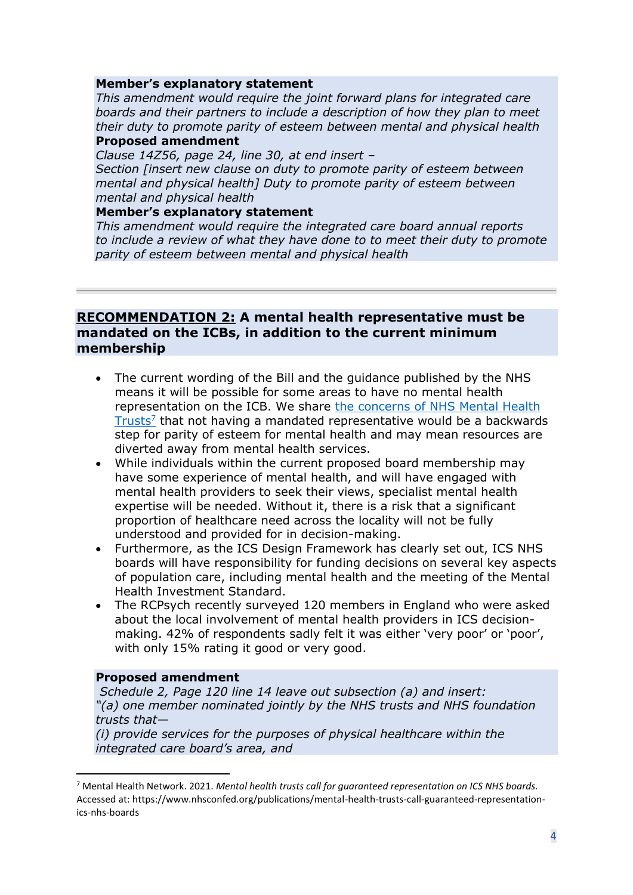#### **Member's explanatory statement**

*This amendment would require the joint forward plans for integrated care boards and their partners to include a description of how they plan to meet their duty to promote parity of esteem between mental and physical health*

#### **Proposed amendment**

*Clause 14Z56, page 24, line 30, at end insert – Section [insert new clause on duty to promote parity of esteem between mental and physical health] Duty to promote parity of esteem between* 

#### *mental and physical health* **Member's explanatory statement**

*This amendment would require the integrated care board annual reports to include a review of what they have done to to meet their duty to promote parity of esteem between mental and physical health*

## **RECOMMENDATION 2: A mental health representative must be mandated on the ICBs, in addition to the current minimum membership**

- The current wording of the Bill and the guidance published by the NHS means it will be possible for some areas to have no mental health representation on the ICB. We share [the concerns of NHS Mental Health](https://www.nhsconfed.org/publications/mental-health-trusts-call-guaranteed-representation-ics-nhs-boards)  [Trusts](https://www.nhsconfed.org/publications/mental-health-trusts-call-guaranteed-representation-ics-nhs-boards)<sup>7</sup> that not having a mandated representative would be a backwards step for parity of esteem for mental health and may mean resources are diverted away from mental health services.
- While individuals within the current proposed board membership may have some experience of mental health, and will have engaged with mental health providers to seek their views, specialist mental health expertise will be needed. Without it, there is a risk that a significant proportion of healthcare need across the locality will not be fully understood and provided for in decision-making.
- Furthermore, as the ICS Design Framework has clearly set out, ICS NHS boards will have responsibility for funding decisions on several key aspects of population care, including mental health and the meeting of the Mental Health Investment Standard.
- The RCPsych recently surveyed 120 members in England who were asked about the local involvement of mental health providers in ICS decisionmaking. 42% of respondents sadly felt it was either 'very poor' or 'poor', with only 15% rating it good or very good.

#### **Proposed amendment**

*Schedule 2, Page 120 line 14 leave out subsection (a) and insert: "(a) one member nominated jointly by the NHS trusts and NHS foundation trusts that—*

*(i) provide services for the purposes of physical healthcare within the integrated care board's area, and*

<sup>7</sup> Mental Health Network. 2021. *Mental health trusts call for guaranteed representation on ICS NHS boards.* Accessed at: https://www.nhsconfed.org/publications/mental-health-trusts-call-guaranteed-representationics-nhs-boards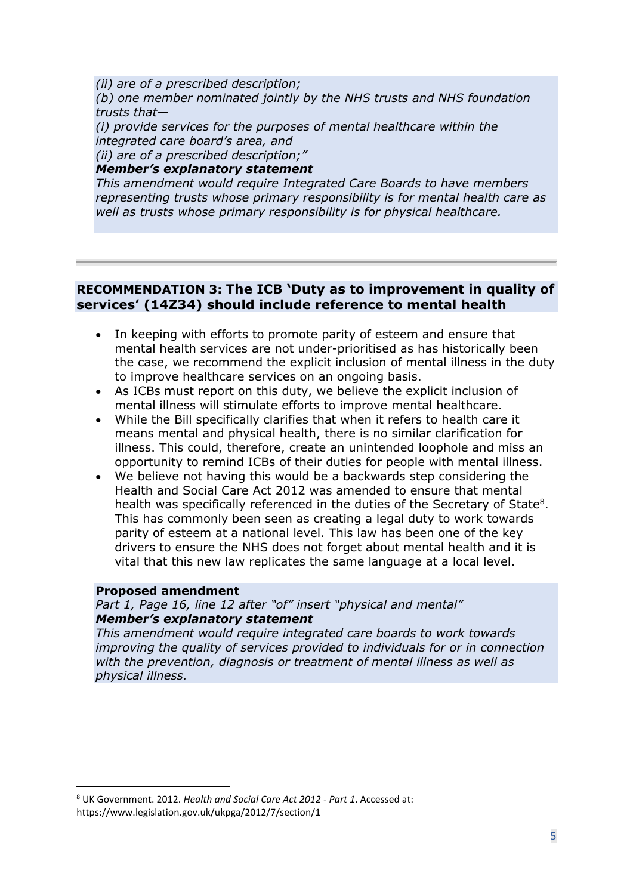*(ii) are of a prescribed description; (b) one member nominated jointly by the NHS trusts and NHS foundation trusts that—*

*(i) provide services for the purposes of mental healthcare within the integrated care board's area, and*

*(ii) are of a prescribed description;"*

## *Member's explanatory statement*

*This amendment would require Integrated Care Boards to have members representing trusts whose primary responsibility is for mental health care as well as trusts whose primary responsibility is for physical healthcare.*

## **RECOMMENDATION 3: The ICB 'Duty as to improvement in quality of services' (14Z34) should include reference to mental health**

- In keeping with efforts to promote parity of esteem and ensure that mental health services are not under-prioritised as has historically been the case, we recommend the explicit inclusion of mental illness in the duty to improve healthcare services on an ongoing basis.
- As ICBs must report on this duty, we believe the explicit inclusion of mental illness will stimulate efforts to improve mental healthcare.
- While the Bill specifically clarifies that when it refers to health care it means mental and physical health, there is no similar clarification for illness. This could, therefore, create an unintended loophole and miss an opportunity to remind ICBs of their duties for people with mental illness.
- We believe not having this would be a backwards step considering the Health and Social Care Act 2012 was amended to ensure that mental health was specifically referenced in the duties of the Secretary of State<sup>8</sup>. This has commonly been seen as creating a legal duty to work towards parity of esteem at a national level. This law has been one of the key drivers to ensure the NHS does not forget about mental health and it is vital that this new law replicates the same language at a local level.

### **Proposed amendment**

*Part 1, Page 16, line 12 after "of" insert "physical and mental" Member's explanatory statement*

*This amendment would require integrated care boards to work towards improving the quality of services provided to individuals for or in connection with the prevention, diagnosis or treatment of mental illness as well as physical illness.*

<sup>8</sup> UK Government. 2012. *Health and Social Care Act 2012 - Part 1*. Accessed at: https://www.legislation.gov.uk/ukpga/2012/7/section/1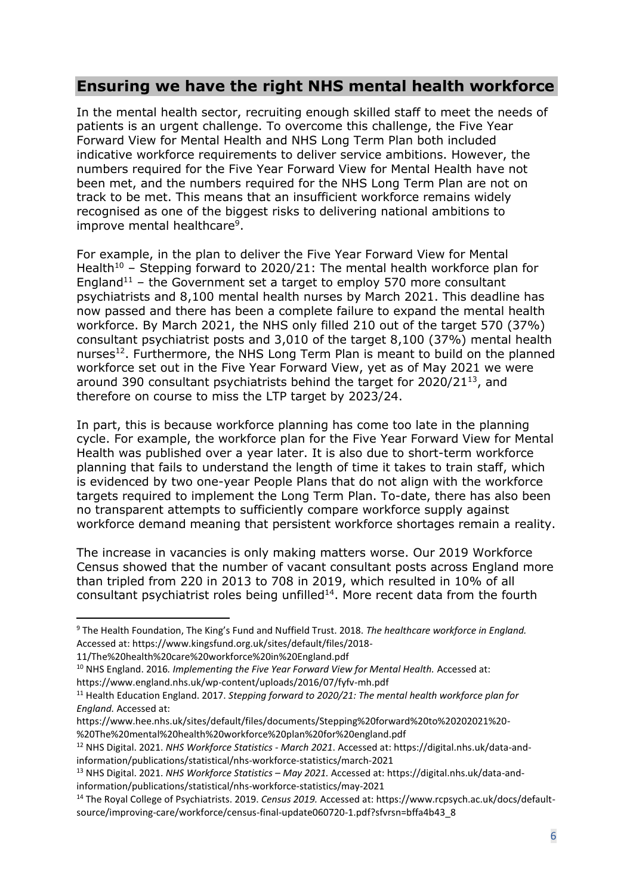# **Ensuring we have the right NHS mental health workforce**

In the mental health sector, recruiting enough skilled staff to meet the needs of patients is an urgent challenge. To overcome this challenge, the Five Year Forward View for Mental Health and NHS Long Term Plan both included indicative workforce requirements to deliver service ambitions. However, the numbers required for the Five Year Forward View for Mental Health have not been met, and the numbers required for the NHS Long Term Plan are not on track to be met. This means that an insufficient workforce remains widely recognised as one of the biggest risks to delivering national ambitions to improve mental healthcare<sup>9</sup>.

For example, in the plan to deliver the Five Year Forward View for Mental Health<sup>10</sup> – Stepping forward to 2020/21: The mental health workforce plan for England<sup>11</sup> – the Government set a target to employ 570 more consultant psychiatrists and 8,100 mental health nurses by March 2021. This deadline has now passed and there has been a complete failure to expand the mental health workforce. By March 2021, the NHS only filled 210 out of the target 570 (37%) consultant psychiatrist posts and 3,010 of the target 8,100 (37%) mental health nurses<sup>12</sup>. Furthermore, the NHS Long Term Plan is meant to build on the planned workforce set out in the Five Year Forward View, yet as of May 2021 we were around 390 consultant psychiatrists behind the target for 2020/21<sup>13</sup>, and therefore on course to miss the LTP target by 2023/24.

In part, this is because workforce planning has come too late in the planning cycle. For example, the workforce plan for the Five Year Forward View for Mental Health was published over a year later. It is also due to short-term workforce planning that fails to understand the length of time it takes to train staff, which is evidenced by two one-year People Plans that do not align with the workforce targets required to implement the Long Term Plan. To-date, there has also been no transparent attempts to sufficiently compare workforce supply against workforce demand meaning that persistent workforce shortages remain a reality.

The increase in vacancies is only making matters worse. Our 2019 Workforce Census showed that the number of vacant consultant posts across England more than tripled from 220 in 2013 to 708 in 2019, which resulted in 10% of all consultant psychiatrist roles being unfilled $14$ . More recent data from the fourth

<sup>9</sup> The Health Foundation, The King's Fund and Nuffield Trust. 2018. *The healthcare workforce in England.*  Accessed at[: https://www.kingsfund.org.uk/sites/default/files/2018-](https://www.kingsfund.org.uk/sites/default/files/2018-11/The%20health%20care%20workforce%20in%20England.pdf)

[<sup>11/</sup>The%20health%20care%20workforce%20in%20England.pdf](https://www.kingsfund.org.uk/sites/default/files/2018-11/The%20health%20care%20workforce%20in%20England.pdf)

<sup>10</sup> NHS England. 2016*. Implementing the Five Year Forward View for Mental Health.* Accessed at:

<https://www.england.nhs.uk/wp-content/uploads/2016/07/fyfv-mh.pdf>

<sup>11</sup> Health Education England. 2017. *Stepping forward to 2020/21: The mental health workforce plan for England.* Accessed at:

[https://www.hee.nhs.uk/sites/default/files/documents/Stepping%20forward%20to%20202021%20-](https://www.hee.nhs.uk/sites/default/files/documents/Stepping%20forward%20to%20202021%20-%20The%20mental%20health%20workforce%20plan%20for%20england.pdf) [%20The%20mental%20health%20workforce%20plan%20for%20england.pdf](https://www.hee.nhs.uk/sites/default/files/documents/Stepping%20forward%20to%20202021%20-%20The%20mental%20health%20workforce%20plan%20for%20england.pdf)

<sup>12</sup> NHS Digital. 2021. *NHS Workforce Statistics - March 2021*. Accessed at[: https://digital.nhs.uk/data-and](https://digital.nhs.uk/data-and-information/publications/statistical/nhs-workforce-statistics/march-2021)[information/publications/statistical/nhs-workforce-statistics/march-2021](https://digital.nhs.uk/data-and-information/publications/statistical/nhs-workforce-statistics/march-2021)

<sup>13</sup> NHS Digital. 2021. *NHS Workforce Statistics – May 2021.* Accessed at: [https://digital.nhs.uk/data-and](https://digital.nhs.uk/data-and-information/publications/statistical/nhs-workforce-statistics/may-2021)[information/publications/statistical/nhs-workforce-statistics/may-2021](https://digital.nhs.uk/data-and-information/publications/statistical/nhs-workforce-statistics/may-2021)

<sup>14</sup> The Royal College of Psychiatrists. 2019. *Census 2019.* Accessed at: [https://www.rcpsych.ac.uk/docs/default](https://www.rcpsych.ac.uk/docs/default-source/improving-care/workforce/census-final-update060720-1.pdf?sfvrsn=bffa4b43_8)[source/improving-care/workforce/census-final-update060720-1.pdf?sfvrsn=bffa4b43\\_8](https://www.rcpsych.ac.uk/docs/default-source/improving-care/workforce/census-final-update060720-1.pdf?sfvrsn=bffa4b43_8)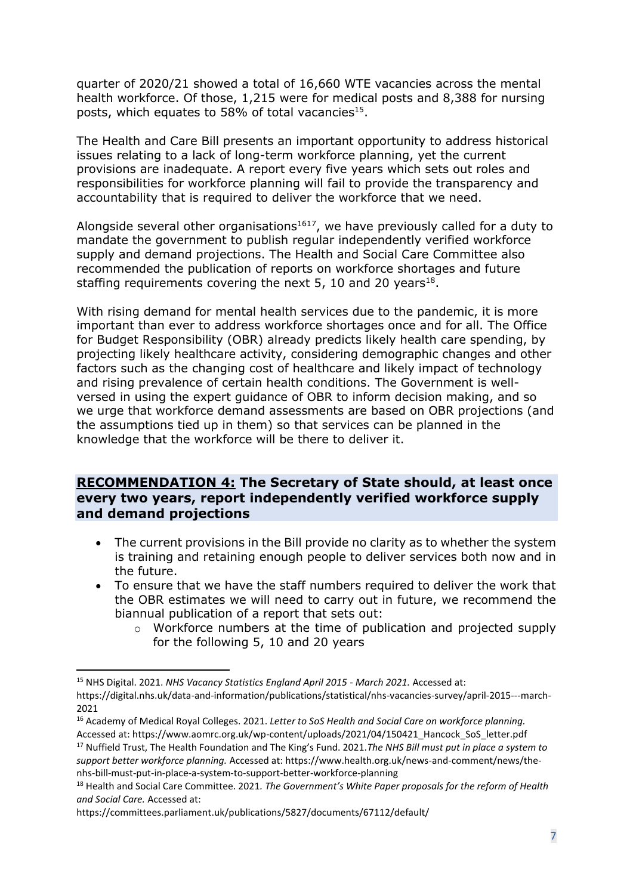quarter of 2020/21 showed a total of 16,660 WTE vacancies across the mental health workforce. Of those, 1,215 were for medical posts and 8,388 for nursing posts, which equates to 58% of total vacancies $^{15}$ .

The Health and Care Bill presents an important opportunity to address historical issues relating to a lack of long-term workforce planning, yet the current provisions are inadequate. A report every five years which sets out roles and responsibilities for workforce planning will fail to provide the transparency and accountability that is required to deliver the workforce that we need.

Alongside several other organisations<sup>1617</sup>, we have previously called for a duty to mandate the government to publish regular independently verified workforce supply and demand projections. The Health and Social Care Committee also recommended the publication of reports on workforce shortages and future staffing requirements covering the next 5, 10 and 20 years<sup>18</sup>.

With rising demand for mental health services due to the pandemic, it is more important than ever to address workforce shortages once and for all. The Office for Budget Responsibility (OBR) already predicts likely health care spending, by projecting likely healthcare activity, considering demographic changes and other factors such as the changing cost of healthcare and likely impact of technology and rising prevalence of certain health conditions. The Government is wellversed in using the expert guidance of OBR to inform decision making, and so we urge that workforce demand assessments are based on OBR projections (and the assumptions tied up in them) so that services can be planned in the knowledge that the workforce will be there to deliver it.

## **RECOMMENDATION 4: The Secretary of State should, at least once every two years, report independently verified workforce supply and demand projections**

- The current provisions in the Bill provide no clarity as to whether the system is training and retaining enough people to deliver services both now and in the future.
- To ensure that we have the staff numbers required to deliver the work that the OBR estimates we will need to carry out in future, we recommend the biannual publication of a report that sets out:
	- o Workforce numbers at the time of publication and projected supply for the following 5, 10 and 20 years

*support better workforce planning.* Accessed at[: https://www.health.org.uk/news-and-comment/news/the](https://www.health.org.uk/news-and-comment/news/the-nhs-bill-must-put-in-place-a-system-to-support-better-workforce-planning)[nhs-bill-must-put-in-place-a-system-to-support-better-workforce-planning](https://www.health.org.uk/news-and-comment/news/the-nhs-bill-must-put-in-place-a-system-to-support-better-workforce-planning)

<sup>15</sup> NHS Digital. 2021. *NHS Vacancy Statistics England April 2015 - March 2021.* Accessed at:

[https://digital.nhs.uk/data-and-information/publications/statistical/nhs-vacancies-survey/april-2015---march-](https://digital.nhs.uk/data-and-information/publications/statistical/nhs-vacancies-survey/april-2015---march-2021)[2021](https://digital.nhs.uk/data-and-information/publications/statistical/nhs-vacancies-survey/april-2015---march-2021)

<sup>16</sup> Academy of Medical Royal Colleges. 2021. *Letter to SoS Health and Social Care on workforce planning.*  Accessed at[: https://www.aomrc.org.uk/wp-content/uploads/2021/04/150421\\_Hancock\\_SoS\\_letter.pdf](https://www.aomrc.org.uk/wp-content/uploads/2021/04/150421_Hancock_SoS_letter.pdf) <sup>17</sup> Nuffield Trust, The Health Foundation and The King's Fund. 2021.*The NHS Bill must put in place a system to* 

<sup>18</sup> Health and Social Care Committee. 2021*. The Government's White Paper proposals for the reform of Health and Social Care.* Accessed at:

<https://committees.parliament.uk/publications/5827/documents/67112/default/>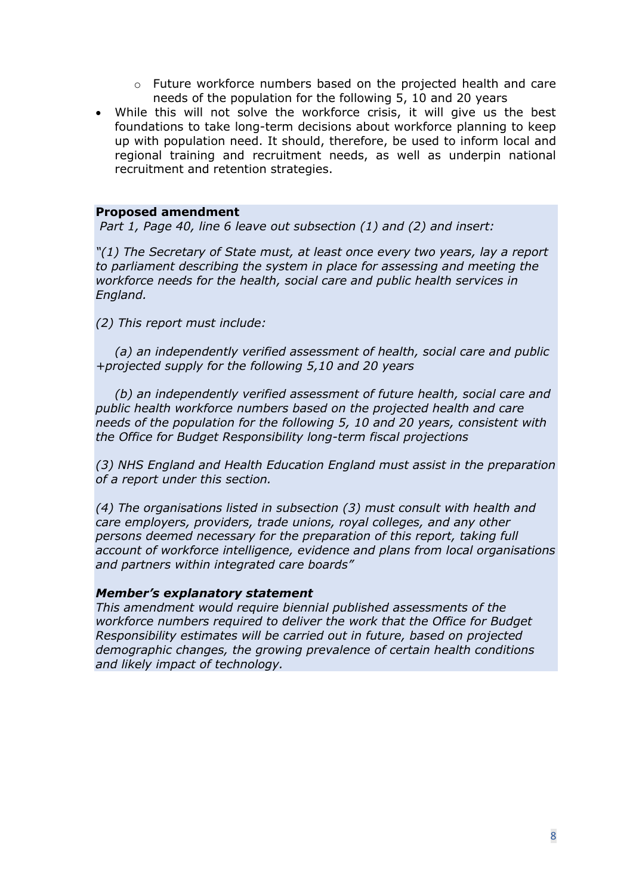- o Future workforce numbers based on the projected health and care needs of the population for the following 5, 10 and 20 years
- While this will not solve the workforce crisis, it will give us the best foundations to take long-term decisions about workforce planning to keep up with population need. It should, therefore, be used to inform local and regional training and recruitment needs, as well as underpin national recruitment and retention strategies.

#### **Proposed amendment**

*Part 1, Page 40, line 6 leave out subsection (1) and (2) and insert:*

*"(1) The Secretary of State must, at least once every two years, lay a report to parliament describing the system in place for assessing and meeting the workforce needs for the health, social care and public health services in England.* 

*(2) This report must include:*

*(a) an independently verified assessment of health, social care and public +projected supply for the following 5,10 and 20 years* 

*(b) an independently verified assessment of future health, social care and public health workforce numbers based on the projected health and care needs of the population for the following 5, 10 and 20 years, consistent with the Office for Budget Responsibility long-term fiscal projections* 

*(3) NHS England and Health Education England must assist in the preparation of a report under this section.* 

*(4) The organisations listed in subsection (3) must consult with health and care employers, providers, trade unions, royal colleges, and any other persons deemed necessary for the preparation of this report, taking full account of workforce intelligence, evidence and plans from local organisations and partners within integrated care boards"*

#### *Member's explanatory statement*

*This amendment would require biennial published assessments of the workforce numbers required to deliver the work that the Office for Budget Responsibility estimates will be carried out in future, based on projected demographic changes, the growing prevalence of certain health conditions and likely impact of technology.*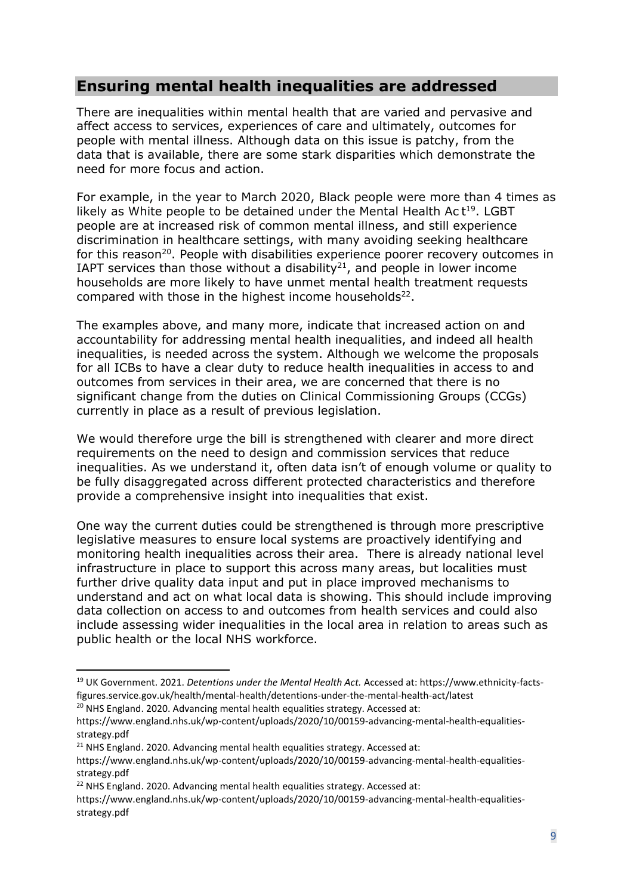# **Ensuring mental health inequalities are addressed**

There are inequalities within mental health that are varied and pervasive and affect access to services, experiences of care and ultimately, outcomes for people with mental illness. Although data on this issue is patchy, from the data that is available, there are some stark disparities which demonstrate the need for more focus and action.

For example, in the year to March 2020, Black people were more than 4 times as likely as White people to be detained under the Mental Health Ac  $t^{19}$ . LGBT people are at increased risk of common mental illness, and still experience discrimination in healthcare settings, with many avoiding seeking healthcare for this reason<sup>20</sup>. People with disabilities experience poorer recovery outcomes in IAPT services than those without a disability<sup>21</sup>, and people in lower income households are more likely to have unmet mental health treatment requests compared with those in the highest income households $^{22}$ .

The examples above, and many more, indicate that increased action on and accountability for addressing mental health inequalities, and indeed all health inequalities, is needed across the system. Although we welcome the proposals for all ICBs to have a clear duty to reduce health inequalities in access to and outcomes from services in their area, we are concerned that there is no significant change from the duties on Clinical Commissioning Groups (CCGs) currently in place as a result of previous legislation.

We would therefore urge the bill is strengthened with clearer and more direct requirements on the need to design and commission services that reduce inequalities. As we understand it, often data isn't of enough volume or quality to be fully disaggregated across different protected characteristics and therefore provide a comprehensive insight into inequalities that exist.

One way the current duties could be strengthened is through more prescriptive legislative measures to ensure local systems are proactively identifying and monitoring health inequalities across their area. There is already national level infrastructure in place to support this across many areas, but localities must further drive quality data input and put in place improved mechanisms to understand and act on what local data is showing. This should include improving data collection on access to and outcomes from health services and could also include assessing wider inequalities in the local area in relation to areas such as public health or the local NHS workforce.

<sup>21</sup> NHS England. 2020. Advancing mental health equalities strategy. Accessed at:

<sup>19</sup> UK Government. 2021. *Detentions under the Mental Health Act.* Accessed at: https://www.ethnicity-factsfigures.service.gov.uk/health/mental-health/detentions-under-the-mental-health-act/latest

 $20$  NHS England. 2020. Advancing mental health equalities strategy. Accessed at:

https://www.england.nhs.uk/wp-content/uploads/2020/10/00159-advancing-mental-health-equalitiesstrategy.pdf

https://www.england.nhs.uk/wp-content/uploads/2020/10/00159-advancing-mental-health-equalitiesstrategy.pdf

<sup>&</sup>lt;sup>22</sup> NHS England. 2020. Advancing mental health equalities strategy. Accessed at:

https://www.england.nhs.uk/wp-content/uploads/2020/10/00159-advancing-mental-health-equalitiesstrategy.pdf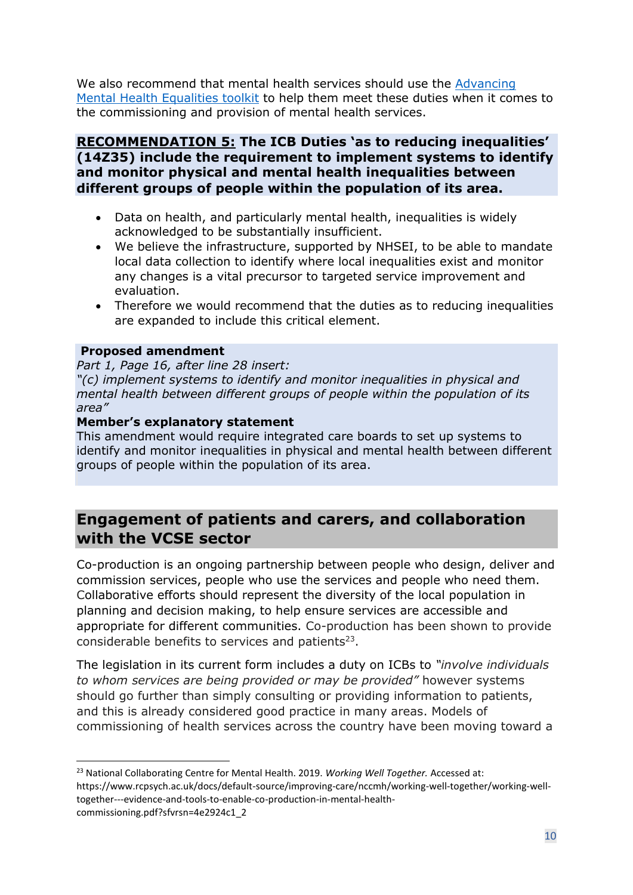We also recommend that mental health services should use the [Advancing](https://www.rcpsych.ac.uk/improving-care/nccmh/care-pathways/advancing-mental-health-equality)  [Mental Health Equalities toolkit](https://www.rcpsych.ac.uk/improving-care/nccmh/care-pathways/advancing-mental-health-equality) to help them meet these duties when it comes to the commissioning and provision of mental health services.

## **RECOMMENDATION 5: The ICB Duties 'as to reducing inequalities' (14Z35) include the requirement to implement systems to identify and monitor physical and mental health inequalities between different groups of people within the population of its area.**

- Data on health, and particularly mental health, inequalities is widely acknowledged to be substantially insufficient.
- We believe the infrastructure, supported by NHSEI, to be able to mandate local data collection to identify where local inequalities exist and monitor any changes is a vital precursor to targeted service improvement and evaluation.
- Therefore we would recommend that the duties as to reducing inequalities are expanded to include this critical element.

### **Proposed amendment**

*Part 1, Page 16, after line 28 insert:*

*"(c) implement systems to identify and monitor inequalities in physical and mental health between different groups of people within the population of its area"*

#### **Member's explanatory statement**

This amendment would require integrated care boards to set up systems to identify and monitor inequalities in physical and mental health between different groups of people within the population of its area.

# **Engagement of patients and carers, and collaboration with the VCSE sector**

Co-production is an ongoing partnership between people who design, deliver and commission services, people who use the services and people who need them. Collaborative efforts should represent the diversity of the local population in planning and decision making, to help ensure services are accessible and appropriate for different communities. Co-production has been shown to provide considerable benefits to services and patients $23$ .

The legislation in its current form includes a duty on ICBs to *"involve individuals to whom services are being provided or may be provided"* however systems should go further than simply consulting or providing information to patients, and this is already considered good practice in many areas. Models of commissioning of health services across the country have been moving toward a

<sup>23</sup> National Collaborating Centre for Mental Health. 2019. *Working Well Together.* Accessed at: https://www.rcpsych.ac.uk/docs/default-source/improving-care/nccmh/working-well-together/working-welltogether---evidence-and-tools-to-enable-co-production-in-mental-healthcommissioning.pdf?sfvrsn=4e2924c1\_2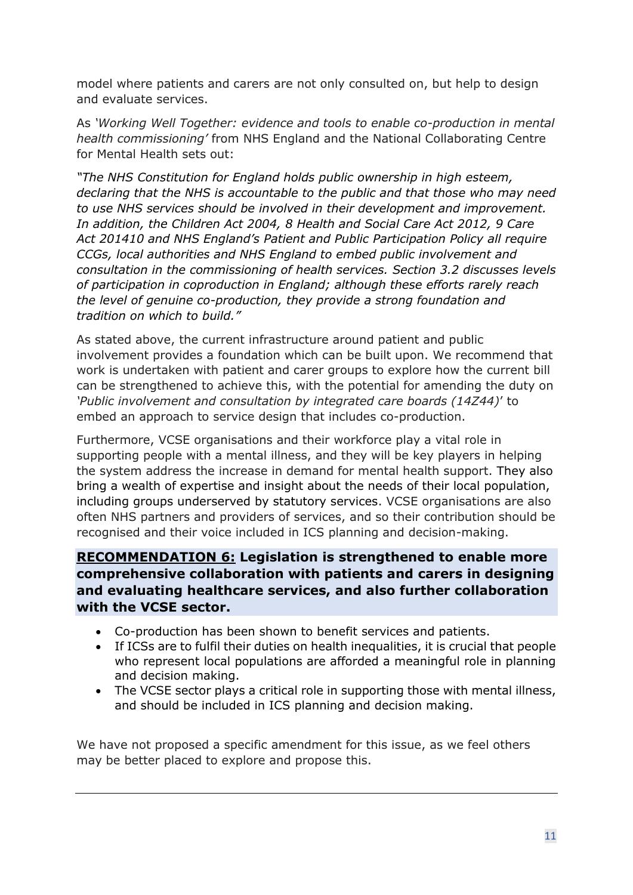model where patients and carers are not only consulted on, but help to design and evaluate services.

As *'Working Well Together: evidence and tools to enable co-production in mental health commissioning'* from NHS England and the National Collaborating Centre for Mental Health sets out:

*"The NHS Constitution for England holds public ownership in high esteem, declaring that the NHS is accountable to the public and that those who may need to use NHS services should be involved in their development and improvement. In addition, the Children Act 2004, 8 Health and Social Care Act 2012, 9 Care Act 201410 and NHS England's Patient and Public Participation Policy all require CCGs, local authorities and NHS England to embed public involvement and consultation in the commissioning of health services. Section 3.2 discusses levels of participation in coproduction in England; although these efforts rarely reach the level of genuine co-production, they provide a strong foundation and tradition on which to build."*

As stated above, the current infrastructure around patient and public involvement provides a foundation which can be built upon. We recommend that work is undertaken with patient and carer groups to explore how the current bill can be strengthened to achieve this, with the potential for amending the duty on *'Public involvement and consultation by integrated care boards (14Z44)*' to embed an approach to service design that includes co-production.

Furthermore, VCSE organisations and their workforce play a vital role in supporting people with a mental illness, and they will be key players in helping the system address the increase in demand for mental health support. They also bring a wealth of expertise and insight about the needs of their local population, including groups underserved by statutory services. VCSE organisations are also often NHS partners and providers of services, and so their contribution should be recognised and their voice included in ICS planning and decision-making.

# **RECOMMENDATION 6: Legislation is strengthened to enable more comprehensive collaboration with patients and carers in designing and evaluating healthcare services, and also further collaboration with the VCSE sector.**

- Co-production has been shown to benefit services and patients.
- If ICSs are to fulfil their duties on health inequalities, it is crucial that people who represent local populations are afforded a meaningful role in planning and decision making.
- The VCSE sector plays a critical role in supporting those with mental illness, and should be included in ICS planning and decision making.

We have not proposed a specific amendment for this issue, as we feel others may be better placed to explore and propose this.